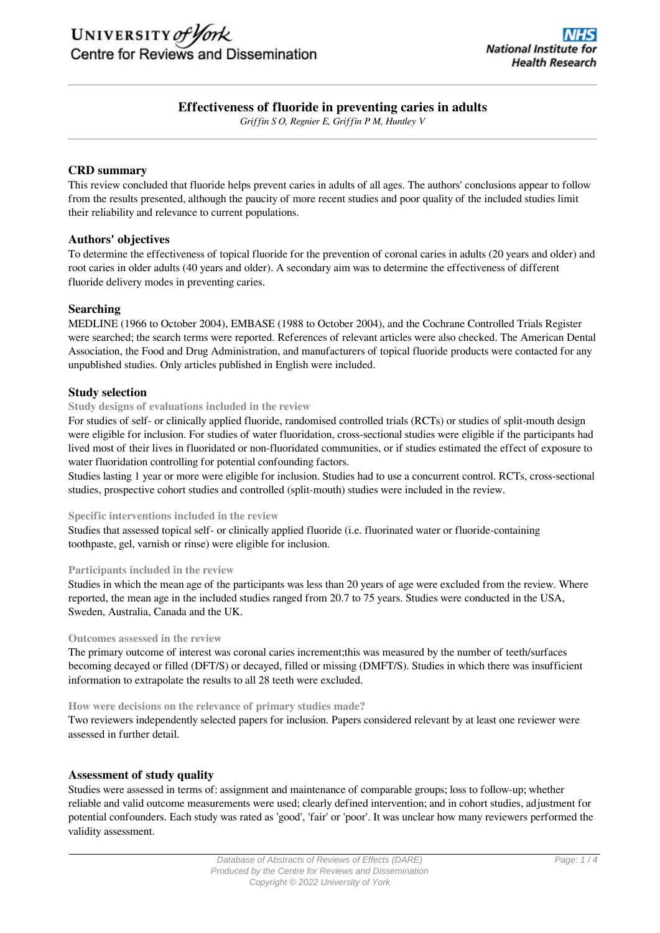# **Effectiveness of fluoride in preventing caries in adults**

*Griffin S O, Regnier E, Griffin P M, Huntley V*

## **CRD summary**

This review concluded that fluoride helps prevent caries in adults of all ages. The authors' conclusions appear to follow from the results presented, although the paucity of more recent studies and poor quality of the included studies limit their reliability and relevance to current populations.

## **Authors' objectives**

To determine the effectiveness of topical fluoride for the prevention of coronal caries in adults (20 years and older) and root caries in older adults (40 years and older). A secondary aim was to determine the effectiveness of different fluoride delivery modes in preventing caries.

## **Searching**

MEDLINE (1966 to October 2004), EMBASE (1988 to October 2004), and the Cochrane Controlled Trials Register were searched; the search terms were reported. References of relevant articles were also checked. The American Dental Association, the Food and Drug Administration, and manufacturers of topical fluoride products were contacted for any unpublished studies. Only articles published in English were included.

## **Study selection**

## **Study designs of evaluations included in the review**

For studies of self- or clinically applied fluoride, randomised controlled trials (RCTs) or studies of split-mouth design were eligible for inclusion. For studies of water fluoridation, cross-sectional studies were eligible if the participants had lived most of their lives in fluoridated or non-fluoridated communities, or if studies estimated the effect of exposure to water fluoridation controlling for potential confounding factors.

Studies lasting 1 year or more were eligible for inclusion. Studies had to use a concurrent control. RCTs, cross-sectional studies, prospective cohort studies and controlled (split-mouth) studies were included in the review.

## **Specific interventions included in the review**

Studies that assessed topical self- or clinically applied fluoride (i.e. fluorinated water or fluoride-containing toothpaste, gel, varnish or rinse) were eligible for inclusion.

## **Participants included in the review**

Studies in which the mean age of the participants was less than 20 years of age were excluded from the review. Where reported, the mean age in the included studies ranged from 20.7 to 75 years. Studies were conducted in the USA, Sweden, Australia, Canada and the UK.

## **Outcomes assessed in the review**

The primary outcome of interest was coronal caries increment;this was measured by the number of teeth/surfaces becoming decayed or filled (DFT/S) or decayed, filled or missing (DMFT/S). Studies in which there was insufficient information to extrapolate the results to all 28 teeth were excluded.

#### **How were decisions on the relevance of primary studies made?**

Two reviewers independently selected papers for inclusion. Papers considered relevant by at least one reviewer were assessed in further detail.

## **Assessment of study quality**

Studies were assessed in terms of: assignment and maintenance of comparable groups; loss to follow-up; whether reliable and valid outcome measurements were used; clearly defined intervention; and in cohort studies, adjustment for potential confounders. Each study was rated as 'good', 'fair' or 'poor'. It was unclear how many reviewers performed the validity assessment.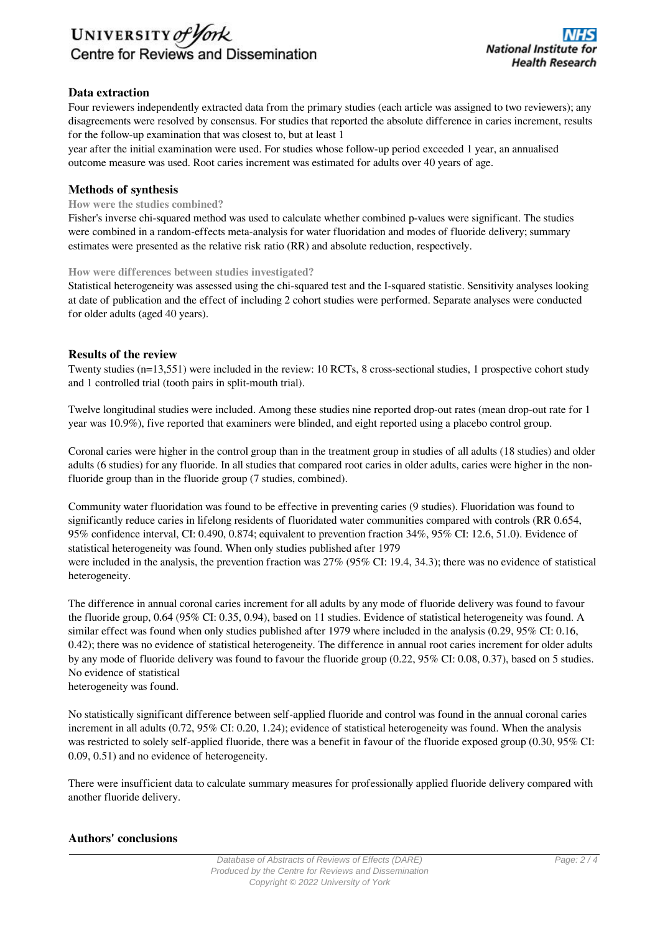

## **Data extraction**

Four reviewers independently extracted data from the primary studies (each article was assigned to two reviewers); any disagreements were resolved by consensus. For studies that reported the absolute difference in caries increment, results for the follow-up examination that was closest to, but at least 1

year after the initial examination were used. For studies whose follow-up period exceeded 1 year, an annualised outcome measure was used. Root caries increment was estimated for adults over 40 years of age.

## **Methods of synthesis**

#### **How were the studies combined?**

Fisher's inverse chi-squared method was used to calculate whether combined p-values were significant. The studies were combined in a random-effects meta-analysis for water fluoridation and modes of fluoride delivery; summary estimates were presented as the relative risk ratio (RR) and absolute reduction, respectively.

#### **How were differences between studies investigated?**

Statistical heterogeneity was assessed using the chi-squared test and the I-squared statistic. Sensitivity analyses looking at date of publication and the effect of including 2 cohort studies were performed. Separate analyses were conducted for older adults (aged 40 years).

## **Results of the review**

Twenty studies (n=13,551) were included in the review: 10 RCTs, 8 cross-sectional studies, 1 prospective cohort study and 1 controlled trial (tooth pairs in split-mouth trial).

Twelve longitudinal studies were included. Among these studies nine reported drop-out rates (mean drop-out rate for 1 year was 10.9%), five reported that examiners were blinded, and eight reported using a placebo control group.

Coronal caries were higher in the control group than in the treatment group in studies of all adults (18 studies) and older adults (6 studies) for any fluoride. In all studies that compared root caries in older adults, caries were higher in the nonfluoride group than in the fluoride group (7 studies, combined).

Community water fluoridation was found to be effective in preventing caries (9 studies). Fluoridation was found to significantly reduce caries in lifelong residents of fluoridated water communities compared with controls (RR 0.654, 95% confidence interval, CI: 0.490, 0.874; equivalent to prevention fraction 34%, 95% CI: 12.6, 51.0). Evidence of statistical heterogeneity was found. When only studies published after 1979 were included in the analysis, the prevention fraction was 27% (95% CI: 19.4, 34.3); there was no evidence of statistical heterogeneity.

The difference in annual coronal caries increment for all adults by any mode of fluoride delivery was found to favour the fluoride group, 0.64 (95% CI: 0.35, 0.94), based on 11 studies. Evidence of statistical heterogeneity was found. A similar effect was found when only studies published after 1979 where included in the analysis (0.29, 95% CI: 0.16, 0.42); there was no evidence of statistical heterogeneity. The difference in annual root caries increment for older adults by any mode of fluoride delivery was found to favour the fluoride group (0.22, 95% CI: 0.08, 0.37), based on 5 studies. No evidence of statistical heterogeneity was found.

No statistically significant difference between self-applied fluoride and control was found in the annual coronal caries increment in all adults (0.72, 95% CI: 0.20, 1.24); evidence of statistical heterogeneity was found. When the analysis was restricted to solely self-applied fluoride, there was a benefit in favour of the fluoride exposed group (0.30, 95% CI: 0.09, 0.51) and no evidence of heterogeneity.

There were insufficient data to calculate summary measures for professionally applied fluoride delivery compared with another fluoride delivery.

## **Authors' conclusions**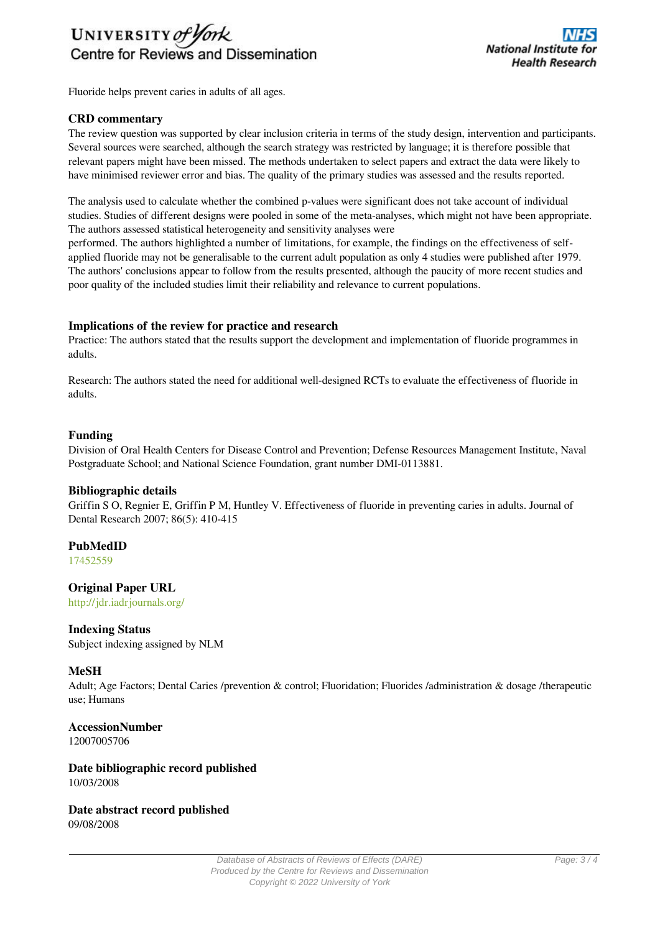

Fluoride helps prevent caries in adults of all ages.

## **CRD commentary**

The review question was supported by clear inclusion criteria in terms of the study design, intervention and participants. Several sources were searched, although the search strategy was restricted by language; it is therefore possible that relevant papers might have been missed. The methods undertaken to select papers and extract the data were likely to have minimised reviewer error and bias. The quality of the primary studies was assessed and the results reported.

The analysis used to calculate whether the combined p-values were significant does not take account of individual studies. Studies of different designs were pooled in some of the meta-analyses, which might not have been appropriate. The authors assessed statistical heterogeneity and sensitivity analyses were

performed. The authors highlighted a number of limitations, for example, the findings on the effectiveness of selfapplied fluoride may not be generalisable to the current adult population as only 4 studies were published after 1979. The authors' conclusions appear to follow from the results presented, although the paucity of more recent studies and poor quality of the included studies limit their reliability and relevance to current populations.

## **Implications of the review for practice and research**

Practice: The authors stated that the results support the development and implementation of fluoride programmes in adults.

Research: The authors stated the need for additional well-designed RCTs to evaluate the effectiveness of fluoride in adults.

## **Funding**

Division of Oral Health Centers for Disease Control and Prevention; Defense Resources Management Institute, Naval Postgraduate School; and National Science Foundation, grant number DMI-0113881.

## **Bibliographic details**

Griffin S O, Regnier E, Griffin P M, Huntley V. Effectiveness of fluoride in preventing caries in adults. Journal of Dental Research 2007; 86(5): 410-415

## **PubMedID**

[17452559](http://www.ncbi.nlm.nih.gov/pubmed?term=17452559)

## **Original Paper URL**

http://jdr.iadrjournals.org/

## **Indexing Status**

Subject indexing assigned by NLM

## **MeSH**

Adult; Age Factors; Dental Caries /prevention & control; Fluoridation; Fluorides /administration & dosage /therapeutic use; Humans

**AccessionNumber** 12007005706

**Date bibliographic record published** 10/03/2008

**Date abstract record published** 09/08/2008